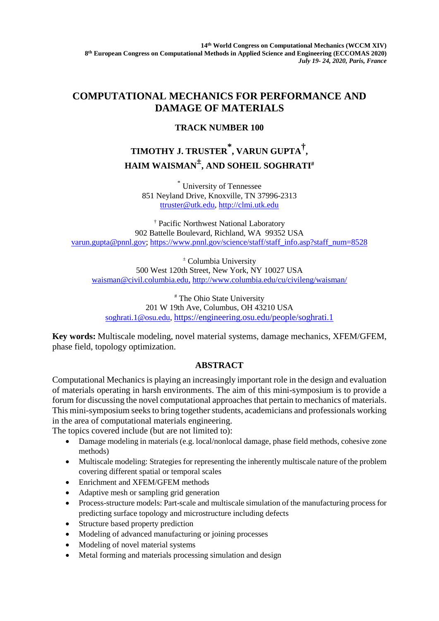**14th World Congress on Computational Mechanics (WCCM XIV) 8th European Congress on Computational Methods in Applied Science and Engineering (ECCOMAS 2020)** *July 19- 24, 2020, Paris, France*

## **COMPUTATIONAL MECHANICS FOR PERFORMANCE AND DAMAGE OF MATERIALS**

## **TRACK NUMBER 100**

## **TIMOTHY J. TRUSTER \*, VARUN GUPTA†, HAIM WAISMAN±, AND SOHEIL SOGHRATI#**

\* University of Tennessee 851 Neyland Drive, Knoxville, TN 37996-2313 [ttruster@utk.edu,](mailto:ttruster@utk.edu) [http://clmi.utk.edu](http://clmi.utk.edu/)

† Pacific Northwest National Laboratory 902 Battelle Boulevard, Richland, WA 99352 USA [varun.gupta@pnnl.gov;](mailto:varun.gupta@pnnl.gov) [https://www.pnnl.gov/science/staff/staff\\_info.asp?staff\\_num=8528](https://www.pnnl.gov/science/staff/staff_info.asp?staff_num=8528)

<sup>±</sup> Columbia University 500 West 120th Street, New York, NY 10027 USA [waisman@civil.columbia.edu,](mailto:waisman@civil.columbia.edu) <http://www.columbia.edu/cu/civileng/waisman/>

# The Ohio State University 201 W 19th Ave, Columbus, OH 43210 USA soghrati.1@osu.edu, <https://engineering.osu.edu/people/soghrati.1>

**Key words:** Multiscale modeling, novel material systems, damage mechanics, XFEM/GFEM, phase field, topology optimization.

## **ABSTRACT**

Computational Mechanics is playing an increasingly important role in the design and evaluation of materials operating in harsh environments. The aim of this mini-symposium is to provide a forum for discussing the novel computational approaches that pertain to mechanics of materials. This mini-symposium seeks to bring together students, academicians and professionals working in the area of computational materials engineering.

The topics covered include (but are not limited to):

- Damage modeling in materials (e.g. local/nonlocal damage, phase field methods, cohesive zone methods)
- Multiscale modeling: Strategies for representing the inherently multiscale nature of the problem covering different spatial or temporal scales
- Enrichment and XFEM/GFEM methods
- Adaptive mesh or sampling grid generation
- Process-structure models: Part-scale and multiscale simulation of the manufacturing process for predicting surface topology and microstructure including defects
- Structure based property prediction
- Modeling of advanced manufacturing or joining processes
- Modeling of novel material systems
- Metal forming and materials processing simulation and design